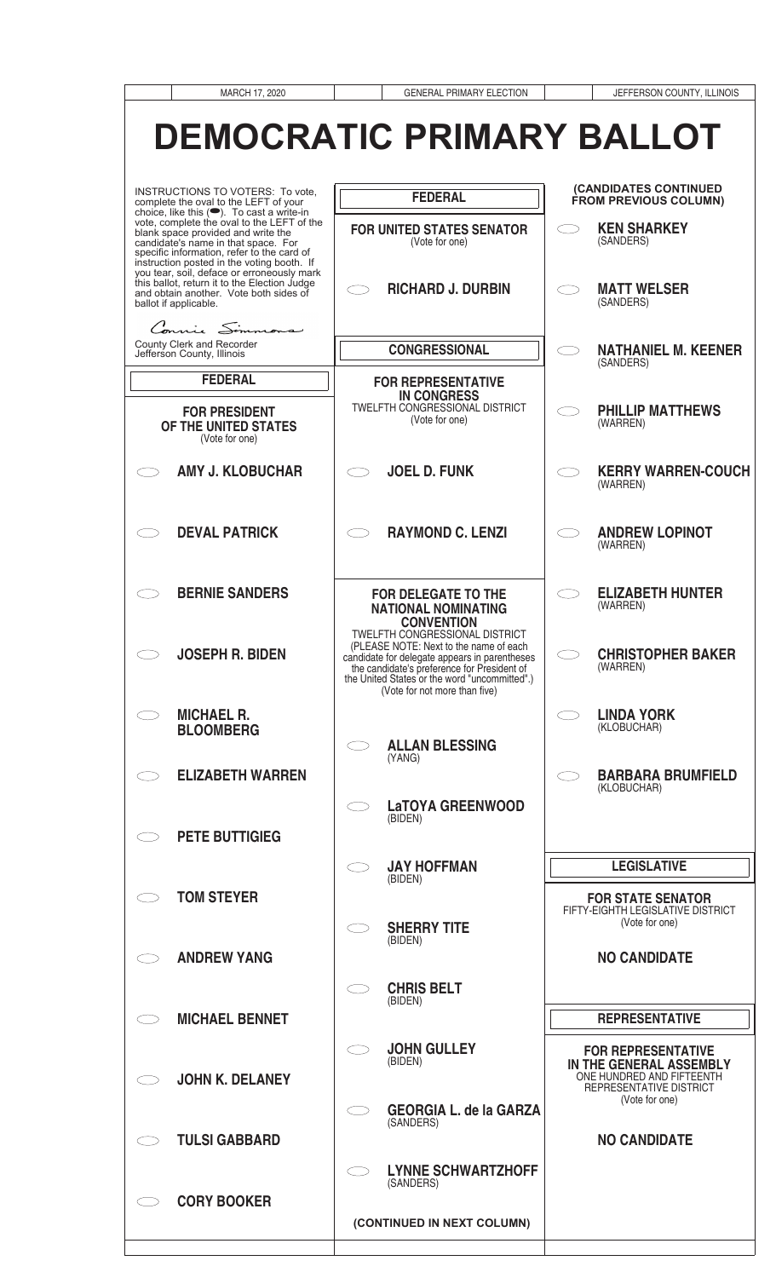| MARCH 17, 2020                                                                                                                                                                                                                                                   | <b>GENERAL PRIMARY ELECTION</b>                                                                                                                                                                                                                                   | JEFFERSON COUNTY, ILLINOIS                                                                                   |
|------------------------------------------------------------------------------------------------------------------------------------------------------------------------------------------------------------------------------------------------------------------|-------------------------------------------------------------------------------------------------------------------------------------------------------------------------------------------------------------------------------------------------------------------|--------------------------------------------------------------------------------------------------------------|
|                                                                                                                                                                                                                                                                  | <b>DEMOCRATIC PRIMARY BALLOT</b>                                                                                                                                                                                                                                  |                                                                                                              |
| INSTRUCTIONS TO VOTERS: To vote,<br>complete the oval to the LEFT of your                                                                                                                                                                                        | <b>FEDERAL</b>                                                                                                                                                                                                                                                    | (CANDIDATES CONTINUED<br>FROM PREVIOUS COLUMN)                                                               |
| choice, like this (C). To cast a write-in<br>vote, complete the oval to the LEFT of the<br>blank space provided and write the<br>candidate's name in that space. For<br>specific information, refer to the card of<br>instruction posted in the voting booth. If | <b>FOR UNITED STATES SENATOR</b><br>(Vote for one)                                                                                                                                                                                                                | <b>KEN SHARKEY</b><br>(SANDERS)                                                                              |
| you tear, soil, deface or erroneously mark<br>this ballot, return it to the Election Judge<br>and obtain another. Vote both sides of<br>ballot if applicable.<br>Connie Simmons                                                                                  | <b>RICHARD J. DURBIN</b>                                                                                                                                                                                                                                          | <b>MATT WELSER</b><br>(SANDERS)                                                                              |
| <b>County Clerk and Recorder</b><br>Jefferson County, Illinois                                                                                                                                                                                                   | <b>CONGRESSIONAL</b>                                                                                                                                                                                                                                              | <b>NATHANIEL M. KEENER</b><br>(SANDERS)                                                                      |
| <b>FEDERAL</b>                                                                                                                                                                                                                                                   | <b>FOR REPRESENTATIVE</b>                                                                                                                                                                                                                                         |                                                                                                              |
| <b>FOR PRESIDENT</b><br>OF THE UNITED STATES<br>(Vote for one)                                                                                                                                                                                                   | <b>IN CONGRESS</b><br>TWELFTH CONGRESSIONAL DISTRICT<br>(Vote for one)                                                                                                                                                                                            | <b>PHILLIP MATTHEWS</b><br>(WARREN)                                                                          |
| <b>AMY J. KLOBUCHAR</b>                                                                                                                                                                                                                                          | <b>JOEL D. FUNK</b>                                                                                                                                                                                                                                               | <b>KERRY WARREN-COUCH</b><br>(WARREN)                                                                        |
| <b>DEVAL PATRICK</b>                                                                                                                                                                                                                                             | <b>RAYMOND C. LENZI</b>                                                                                                                                                                                                                                           | <b>ANDREW LOPINOT</b><br>(WARREN)                                                                            |
| <b>BERNIE SANDERS</b>                                                                                                                                                                                                                                            | <b>FOR DELEGATE TO THE</b><br><b>NATIONAL NOMINATING</b><br><b>CONVENTION</b>                                                                                                                                                                                     | <b>ELIZABETH HUNTER</b><br>(WARREN)                                                                          |
| <b>JOSEPH R. BIDEN</b>                                                                                                                                                                                                                                           | <b>TWELFTH CONGRESSIONAL DISTRICT</b><br>(PLEASE NOTE: Next to the name of each<br>candidate for delegate appears in parentheses<br>the candidate's preference for President of<br>the United States or the word "uncommitted".)<br>(Vote for not more than five) | <b>CHRISTOPHER BAKER</b><br>$\subset$ 3<br>(WARREN)                                                          |
| <b>MICHAEL R.</b><br><b>BLOOMBERG</b>                                                                                                                                                                                                                            | <b>ALLAN BLESSING</b><br>(YANG)                                                                                                                                                                                                                                   | <b>LINDA YORK</b><br>(KLOBUCHAR)                                                                             |
| <b>ELIZABETH WARREN</b>                                                                                                                                                                                                                                          | <b>LaTOYA GREENWOOD</b><br>(BIDEN)                                                                                                                                                                                                                                | <b>BARBARA BRUMFIELD</b><br>(KLOBUCHAR)                                                                      |
| <b>PETE BUTTIGIEG</b>                                                                                                                                                                                                                                            |                                                                                                                                                                                                                                                                   |                                                                                                              |
|                                                                                                                                                                                                                                                                  | <b>JAY HOFFMAN</b><br>(BIDEN)                                                                                                                                                                                                                                     | <b>LEGISLATIVE</b>                                                                                           |
| <b>TOM STEYER</b>                                                                                                                                                                                                                                                |                                                                                                                                                                                                                                                                   | <b>FOR STATE SENATOR</b><br>FIFTY-EIGHTH LEGISLATIVE DISTRICT                                                |
| <b>ANDREW YANG</b>                                                                                                                                                                                                                                               | <b>SHERRY TITE</b><br>(BIDEN)                                                                                                                                                                                                                                     | (Vote for one)<br><b>NO CANDIDATE</b>                                                                        |
|                                                                                                                                                                                                                                                                  | <b>CHRIS BELT</b>                                                                                                                                                                                                                                                 |                                                                                                              |
| <b>MICHAEL BENNET</b>                                                                                                                                                                                                                                            | (BIDEN)                                                                                                                                                                                                                                                           | <b>REPRESENTATIVE</b>                                                                                        |
| <b>JOHN K. DELANEY</b>                                                                                                                                                                                                                                           | <b>JOHN GULLEY</b><br>(BIDEN)                                                                                                                                                                                                                                     | <b>FOR REPRESENTATIVE</b><br>IN THE GENERAL ASSEMBLY<br>ONE HUNDRED AND FIFTEENTH<br>REPRESENTATIVE DISTRICT |
|                                                                                                                                                                                                                                                                  | <b>GEORGIA L. de la GARZA</b><br>(SANDERS)                                                                                                                                                                                                                        | (Vote for one)                                                                                               |
| <b>TULSI GABBARD</b>                                                                                                                                                                                                                                             |                                                                                                                                                                                                                                                                   | <b>NO CANDIDATE</b>                                                                                          |
| <b>CORY BOOKER</b>                                                                                                                                                                                                                                               | <b>LYNNE SCHWARTZHOFF</b><br>(SANDERS)                                                                                                                                                                                                                            |                                                                                                              |
|                                                                                                                                                                                                                                                                  | (CONTINUED IN NEXT COLUMN)                                                                                                                                                                                                                                        |                                                                                                              |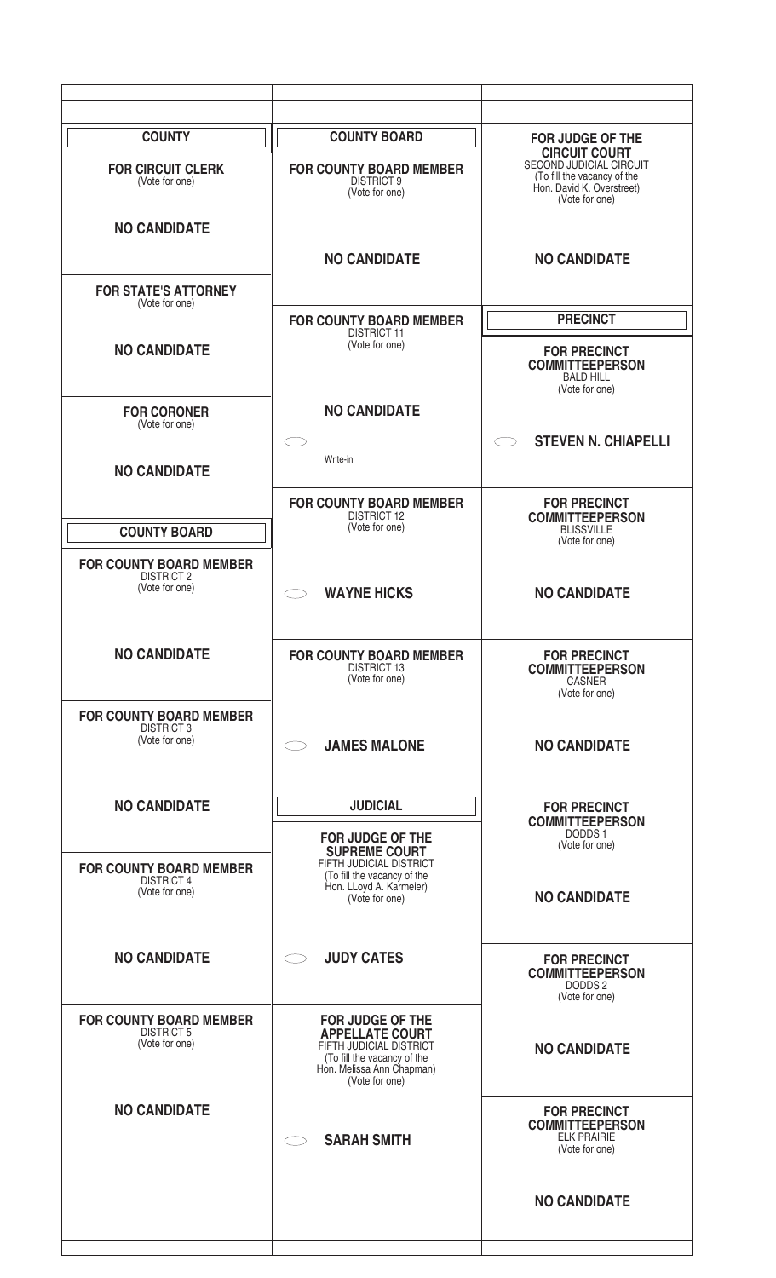| <b>COUNTY</b>                                                         | <b>COUNTY BOARD</b>                                                                                                                                        | <b>FOR JUDGE OF THE</b><br><b>CIRCUIT COURT</b><br>SECOND JUDICIAL CIRCUIT            |
|-----------------------------------------------------------------------|------------------------------------------------------------------------------------------------------------------------------------------------------------|---------------------------------------------------------------------------------------|
| <b>FOR CIRCUIT CLERK</b><br>(Vote for one)                            | <b>FOR COUNTY BOARD MEMBER</b><br><b>DISTRICT 9</b><br>(Vote for one)                                                                                      | (To fill the vacancy of the<br>Hon. David K. Overstreet)<br>(Vote for one)            |
| <b>NO CANDIDATE</b>                                                   |                                                                                                                                                            |                                                                                       |
| <b>FOR STATE'S ATTORNEY</b>                                           | <b>NO CANDIDATE</b>                                                                                                                                        | <b>NO CANDIDATE</b>                                                                   |
| (Vote for one)                                                        | <b>FOR COUNTY BOARD MEMBER</b>                                                                                                                             | <b>PRECINCT</b>                                                                       |
| <b>NO CANDIDATE</b>                                                   | <b>DISTRICT 11</b><br>(Vote for one)                                                                                                                       | <b>FOR PRECINCT</b><br><b>COMMITTEEPERSON</b><br><b>BALD HILL</b><br>(Vote for one)   |
| <b>FOR CORONER</b><br>(Vote for one)                                  | <b>NO CANDIDATE</b>                                                                                                                                        |                                                                                       |
| <b>NO CANDIDATE</b>                                                   | Write-in                                                                                                                                                   | <b>STEVEN N. CHIAPELLI</b><br>$\subset$ $\overline{\phantom{a}}$                      |
|                                                                       | <b>FOR COUNTY BOARD MEMBER</b>                                                                                                                             | <b>FOR PRECINCT</b>                                                                   |
| <b>COUNTY BOARD</b>                                                   | <b>DISTRICT 12</b><br>(Vote for one)                                                                                                                       | <b>COMMITTEEPERSON</b><br><b>BLISSVILLE</b><br>(Vote for one)                         |
| <b>FOR COUNTY BOARD MEMBER</b><br><b>DISTRICT 2</b><br>(Vote for one) | <b>WAYNE HICKS</b>                                                                                                                                         | <b>NO CANDIDATE</b>                                                                   |
| <b>NO CANDIDATE</b>                                                   | <b>FOR COUNTY BOARD MEMBER</b><br><b>DISTRICT 13</b><br>(Vote for one)                                                                                     | <b>FOR PRECINCT</b><br><b>COMMITTEEPERSON</b><br>CASNER<br>(Vote for one)             |
| <b>FOR COUNTY BOARD MEMBER</b><br><b>DISTRICT 3</b><br>(Vote for one) | <b>JAMES MALONE</b>                                                                                                                                        | <b>NO CANDIDATE</b>                                                                   |
| <b>NO CANDIDATE</b>                                                   | <b>JUDICIAL</b>                                                                                                                                            | <b>FOR PRECINCT</b><br><b>COMMITTEEPERSON</b>                                         |
| <b>FOR COUNTY BOARD MEMBER</b>                                        | <b>FOR JUDGE OF THE</b><br><b>SUPREME COURT</b><br>FIFTH JUDICIAL DISTRICT                                                                                 | DODDS 1<br>(Vote for one)                                                             |
| <b>DISTRICT 4</b><br>(Vote for one)                                   | (To fill the vacancy of the<br>Hon. LLoyd A. Karmeier)<br>(Vote for one)                                                                                   | <b>NO CANDIDATE</b>                                                                   |
| <b>NO CANDIDATE</b>                                                   | <b>JUDY CATES</b>                                                                                                                                          | <b>FOR PRECINCT</b><br><b>COMMITTEEPERSON</b><br>DODDS <sub>2</sub><br>(Vote for one) |
| <b>FOR COUNTY BOARD MEMBER</b><br><b>DISTRICT 5</b><br>(Vote for one) | <b>FOR JUDGE OF THE</b><br><b>APPELLATE COURT</b><br>FIFTH JUDICIAL DISTRICT<br>(To fill the vacancy of the<br>Hon. Melissa Ann Chapman)<br>(Vote for one) | <b>NO CANDIDATE</b>                                                                   |
| <b>NO CANDIDATE</b>                                                   | <b>SARAH SMITH</b>                                                                                                                                         | <b>FOR PRECINCT</b><br><b>COMMITTEEPERSON</b><br><b>ELK PRAIRIE</b><br>(Vote for one) |
|                                                                       |                                                                                                                                                            | <b>NO CANDIDATE</b>                                                                   |
|                                                                       |                                                                                                                                                            |                                                                                       |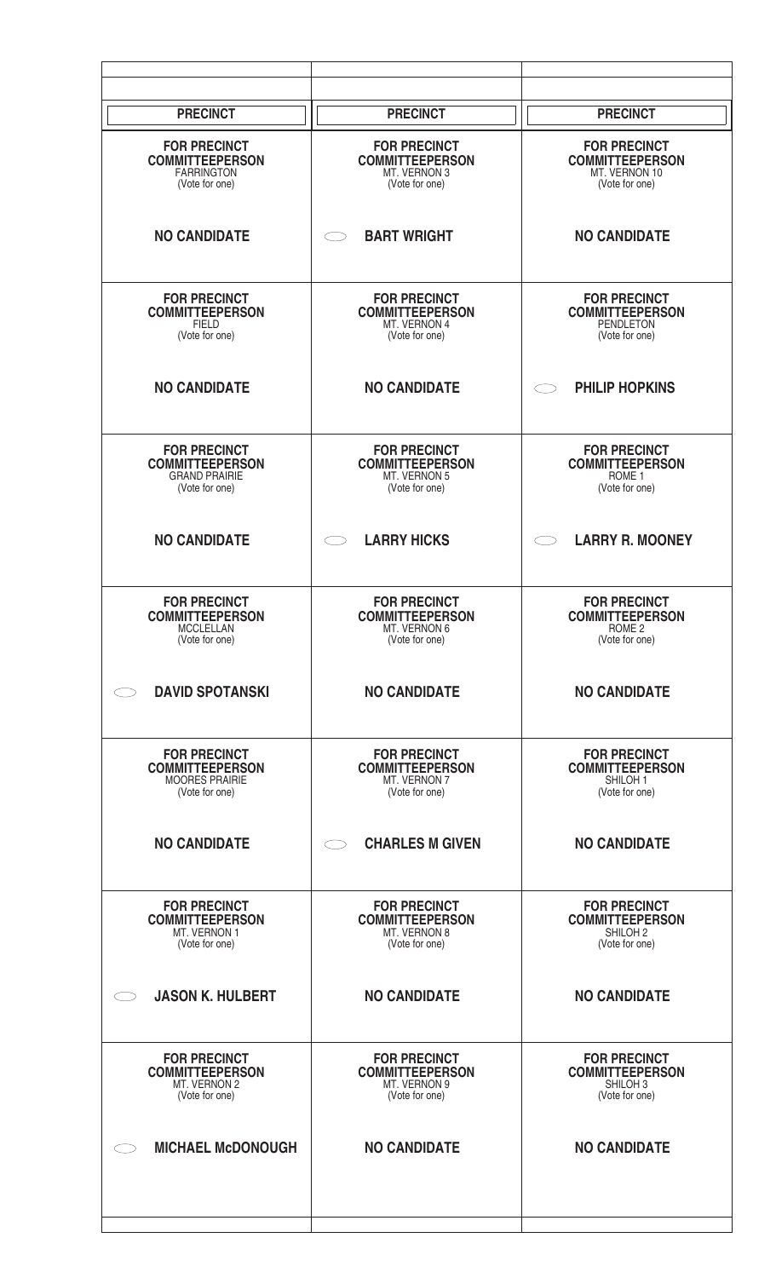| <b>PRECINCT</b>                                                                          | <b>PRECINCT</b>                                                                 | <b>PRECINCT</b>                                                                        |
|------------------------------------------------------------------------------------------|---------------------------------------------------------------------------------|----------------------------------------------------------------------------------------|
| <b>FOR PRECINCT</b><br><b>COMMITTEEPERSON</b><br><b>FARRINGTON</b><br>(Vote for one)     | <b>FOR PRECINCT</b><br><b>COMMITTEEPERSON</b><br>MT. VERNON 3<br>(Vote for one) | <b>FOR PRECINCT</b><br><b>COMMITTEEPERSON</b><br>MT. VERNON 10<br>(Vote for one)       |
| <b>NO CANDIDATE</b>                                                                      | <b>BART WRIGHT</b>                                                              | <b>NO CANDIDATE</b>                                                                    |
| <b>FOR PRECINCT</b><br><b>COMMITTEEPERSON</b><br><b>FIELD</b><br>(Vote for one)          | <b>FOR PRECINCT</b><br><b>COMMITTEEPERSON</b><br>MT. VERNON 4<br>(Vote for one) | <b>FOR PRECINCT</b><br><b>COMMITTEEPERSON</b><br><b>PENDLETON</b><br>(Vote for one)    |
| <b>NO CANDIDATE</b>                                                                      | <b>NO CANDIDATE</b>                                                             | <b>PHILIP HOPKINS</b>                                                                  |
| <b>FOR PRECINCT</b><br><b>COMMITTEEPERSON</b><br><b>GRAND PRAIRIE</b><br>(Vote for one)  | <b>FOR PRECINCT</b><br><b>COMMITTEEPERSON</b><br>MT. VERNON 5<br>(Vote for one) | <b>FOR PRECINCT</b><br><b>COMMITTEEPERSON</b><br>ROME <sub>1</sub><br>(Vote for one)   |
| <b>NO CANDIDATE</b>                                                                      | <b>LARRY HICKS</b>                                                              | <b>LARRY R. MOONEY</b>                                                                 |
| <b>FOR PRECINCT</b><br><b>COMMITTEEPERSON</b><br>MCCLELLAN<br>(Vote for one)             | <b>FOR PRECINCT</b><br><b>COMMITTEEPERSON</b><br>MT. VERNON 6<br>(Vote for one) | <b>FOR PRECINCT</b><br><b>COMMITTEEPERSON</b><br>ROME <sub>2</sub><br>(Vote for one)   |
| <b>DAVID SPOTANSKI</b>                                                                   | <b>NO CANDIDATE</b>                                                             | <b>NO CANDIDATE</b>                                                                    |
| <b>FOR PRECINCT</b><br><b>COMMITTEEPERSON</b><br><b>MOORES PRAIRIE</b><br>(Vote for one) | <b>FOR PRECINCT</b><br><b>COMMITTEEPERSON</b><br>MT. VERNON 7<br>(Vote for one) | <b>FOR PRECINCT</b><br><b>COMMITTEEPERSON</b><br>SHILOH <sub>1</sub><br>(Vote for one) |
| <b>NO CANDIDATE</b>                                                                      | <b>CHARLES M GIVEN</b>                                                          | <b>NO CANDIDATE</b>                                                                    |
| <b>FOR PRECINCT</b><br><b>COMMITTEEPERSON</b><br>MT. VERNON 1<br>(Vote for one)          | <b>FOR PRECINCT</b><br><b>COMMITTEEPERSON</b><br>MT. VERNON 8<br>(Vote for one) | <b>FOR PRECINCT</b><br><b>COMMITTEEPERSON</b><br>SHILOH <sub>2</sub><br>(Vote for one) |
| <b>JASON K. HULBERT</b>                                                                  | <b>NO CANDIDATE</b>                                                             | <b>NO CANDIDATE</b>                                                                    |
| <b>FOR PRECINCT</b><br><b>COMMITTEEPERSON</b><br>MT. VERNON 2<br>(Vote for one)          | <b>FOR PRECINCT</b><br><b>COMMITTEEPERSON</b><br>MT. VERNON 9<br>(Vote for one) | <b>FOR PRECINCT</b><br><b>COMMITTEEPERSON</b><br>SHILOH 3<br>(Vote for one)            |
| <b>MICHAEL McDONOUGH</b>                                                                 | <b>NO CANDIDATE</b>                                                             | <b>NO CANDIDATE</b>                                                                    |
|                                                                                          |                                                                                 |                                                                                        |